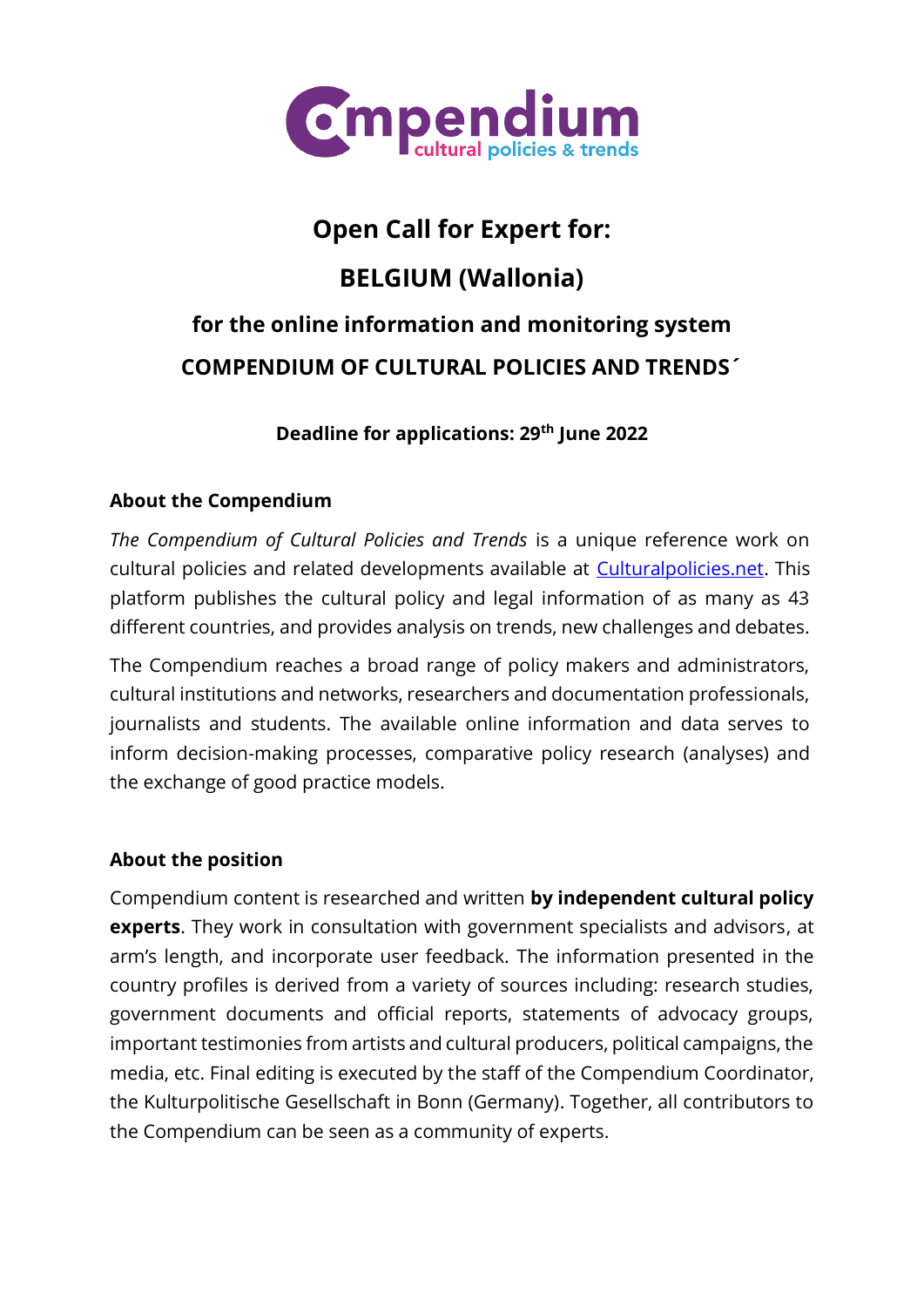

# **Open Call for Expert for: BELGIUM (Wallonia) for the online information and monitoring system COMPENDIUM OF CULTURAL POLICIES AND TRENDS´**

# **Deadline for applications: 29 th June 2022**

# **About the Compendium**

*The Compendium of Cultural Policies and Trends* is a unique reference work on cultural policies and related developments available at [Culturalpolicies.net.](http://www.culturalpolicies.net/) This platform publishes the cultural policy and legal information of as many as 43 different countries, and provides analysis on trends, new challenges and debates.

The Compendium reaches a broad range of policy makers and administrators, cultural institutions and networks, researchers and documentation professionals, journalists and students. The available online information and data serves to inform decision-making processes, comparative policy research (analyses) and the exchange of good practice models.

## **About the position**

Compendium content is researched and written **by independent cultural policy experts**. They work in consultation with government specialists and advisors, at arm's length, and incorporate user feedback. The information presented in the country profiles is derived from a variety of sources including: research studies, government documents and official reports, statements of advocacy groups, important testimonies from artists and cultural producers, political campaigns, the media, etc. Final editing is executed by the staff of the Compendium Coordinator, the Kulturpolitische Gesellschaft in Bonn (Germany). Together, all contributors to the Compendium can be seen as a community of experts.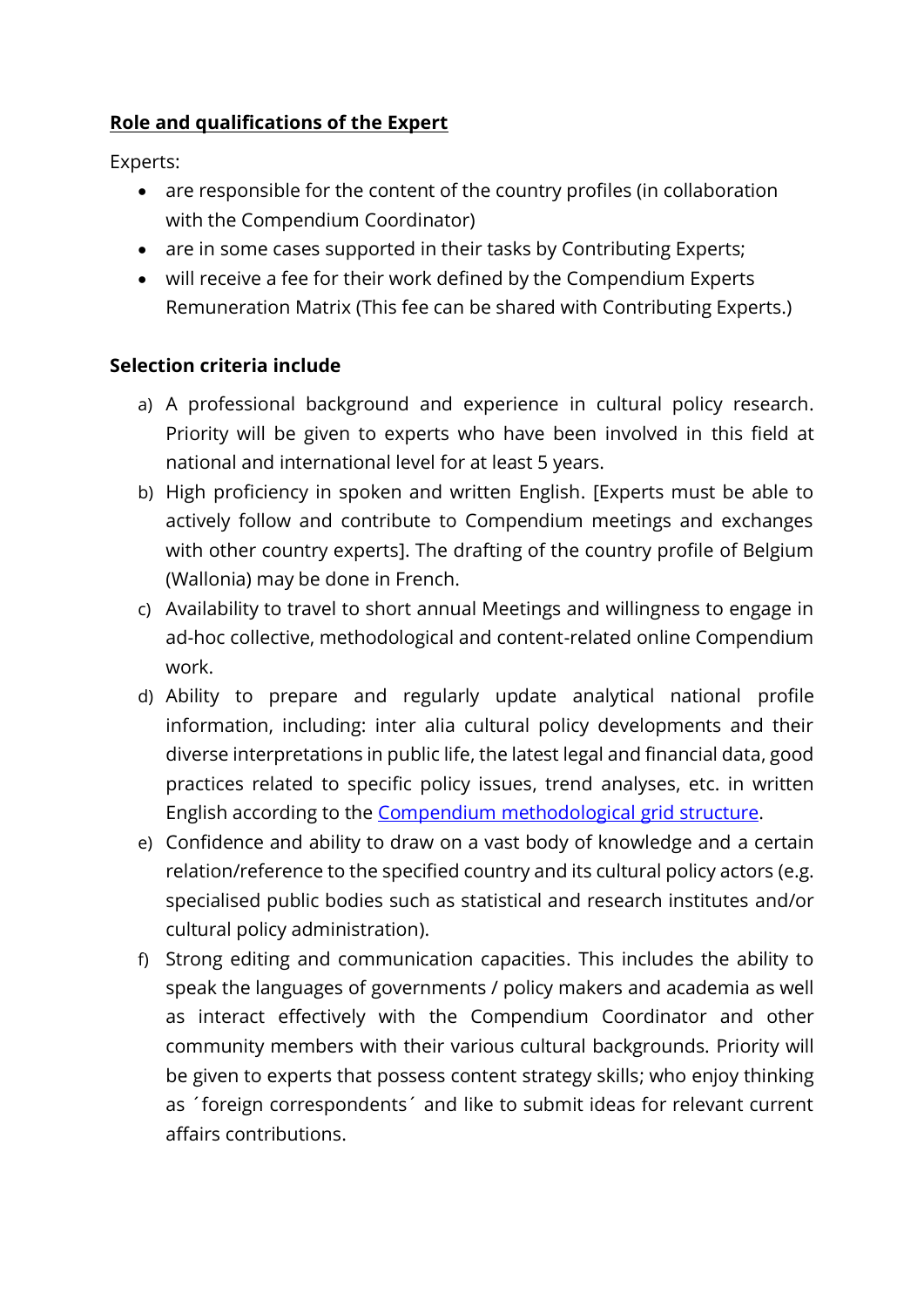# **Role and qualifications of the Expert**

Experts:

- are responsible for the content of the country profiles (in collaboration with the Compendium Coordinator)
- are in some cases supported in their tasks by Contributing Experts;
- will receive a fee for their work defined by the Compendium Experts Remuneration Matrix (This fee can be shared with Contributing Experts.)

# **Selection criteria include**

- a) A professional background and experience in cultural policy research. Priority will be given to experts who have been involved in this field at national and international level for at least 5 years.
- b) High proficiency in spoken and written English. [Experts must be able to actively follow and contribute to Compendium meetings and exchanges with other country experts]. The drafting of the country profile of Belgium (Wallonia) may be done in French.
- c) Availability to travel to short annual Meetings and willingness to engage in ad-hoc collective, methodological and content-related online Compendium work.
- d) Ability to prepare and regularly update analytical national profile information, including: inter alia cultural policy developments and their diverse interpretations in public life, the latest legal and financial data, good practices related to specific policy issues, trend analyses, etc. in written English according to the [Compendium methodological grid structure.](https://www.culturalpolicies.net/database/search-by-filter/)
- e) Confidence and ability to draw on a vast body of knowledge and a certain relation/reference to the specified country and its cultural policy actors (e.g. specialised public bodies such as statistical and research institutes and/or cultural policy administration).
- f) Strong editing and communication capacities. This includes the ability to speak the languages of governments / policy makers and academia as well as interact effectively with the Compendium Coordinator and other community members with their various cultural backgrounds. Priority will be given to experts that possess content strategy skills; who enjoy thinking as ´foreign correspondents´ and like to submit ideas for relevant current affairs contributions.